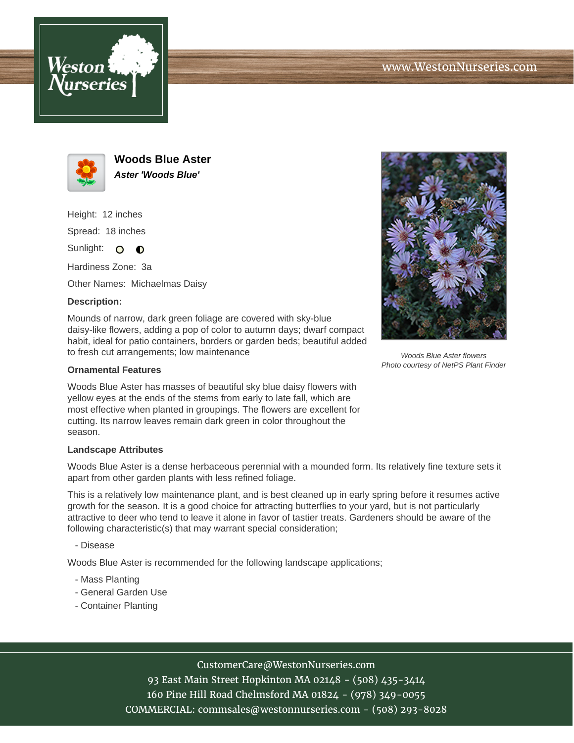



**Woods Blue Aster Aster 'Woods Blue'**

Height: 12 inches Spread: 18 inches

Sunlight: O **O** 

Hardiness Zone: 3a

Other Names: Michaelmas Daisy

## **Description:**

Mounds of narrow, dark green foliage are covered with sky-blue daisy-like flowers, adding a pop of color to autumn days; dwarf compact habit, ideal for patio containers, borders or garden beds; beautiful added to fresh cut arrangements; low maintenance

## **Ornamental Features**

Woods Blue Aster has masses of beautiful sky blue daisy flowers with yellow eyes at the ends of the stems from early to late fall, which are most effective when planted in groupings. The flowers are excellent for cutting. Its narrow leaves remain dark green in color throughout the season.

## **Landscape Attributes**

Woods Blue Aster is a dense herbaceous perennial with a mounded form. Its relatively fine texture sets it apart from other garden plants with less refined foliage.

This is a relatively low maintenance plant, and is best cleaned up in early spring before it resumes active growth for the season. It is a good choice for attracting butterflies to your yard, but is not particularly attractive to deer who tend to leave it alone in favor of tastier treats. Gardeners should be aware of the following characteristic(s) that may warrant special consideration;

- Disease

Woods Blue Aster is recommended for the following landscape applications;

- Mass Planting
- General Garden Use
- Container Planting



93 East Main Street Hopkinton MA 02148 - (508) 435-3414 160 Pine Hill Road Chelmsford MA 01824 - (978) 349-0055 COMMERCIAL: commsales@westonnurseries.com - (508) 293-8028



Woods Blue Aster flowers Photo courtesy of NetPS Plant Finder